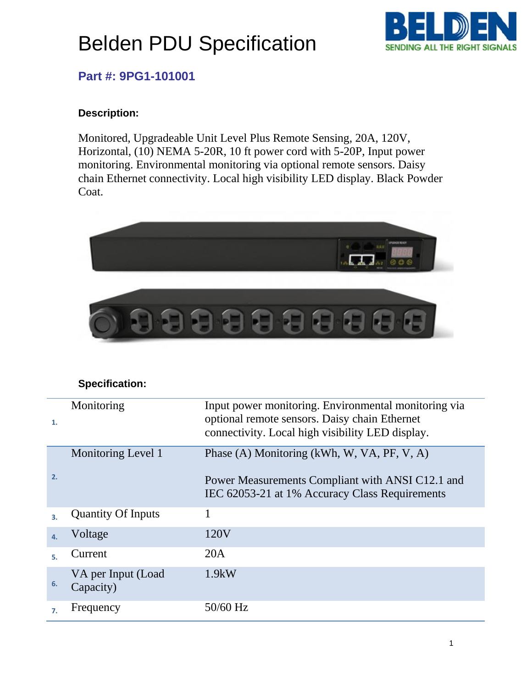# Belden PDU Specification



### **Part #: 9PG1-101001**

#### **Description:**

Monitored, Upgradeable Unit Level Plus Remote Sensing, 20A, 120V, Horizontal, (10) NEMA 5-20R, 10 ft power cord with 5-20P, Input power monitoring. Environmental monitoring via optional remote sensors. Daisy chain Ethernet connectivity. Local high visibility LED display. Black Powder Coat.



#### **Specification:**

| 1.         | Monitoring                      | Input power monitoring. Environmental monitoring via<br>optional remote sensors. Daisy chain Ethernet<br>connectivity. Local high visibility LED display. |
|------------|---------------------------------|-----------------------------------------------------------------------------------------------------------------------------------------------------------|
| 2.         | Monitoring Level 1              | Phase (A) Monitoring (kWh, W, VA, PF, V, A)<br>Power Measurements Compliant with ANSI C12.1 and<br>IEC 62053-21 at 1% Accuracy Class Requirements         |
|            | <b>Quantity Of Inputs</b>       |                                                                                                                                                           |
| $\Delta$ . | Voltage                         | 120V                                                                                                                                                      |
|            | Current                         | 20A                                                                                                                                                       |
| 6.         | VA per Input (Load<br>Capacity) | 1.9kW                                                                                                                                                     |
| 7.         | Frequency                       | 50/60 Hz                                                                                                                                                  |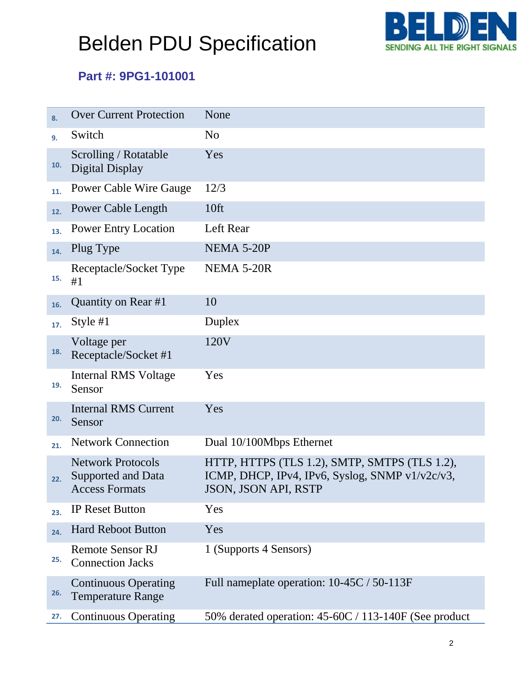# Belden PDU Specification



### **Part #: 9PG1-101001**

| 8.  | <b>Over Current Protection</b>                                                 | None                                                                                                                            |
|-----|--------------------------------------------------------------------------------|---------------------------------------------------------------------------------------------------------------------------------|
| 9.  | Switch                                                                         | N <sub>0</sub>                                                                                                                  |
| 10. | Scrolling / Rotatable<br>Digital Display                                       | Yes                                                                                                                             |
| 11. | <b>Power Cable Wire Gauge</b>                                                  | 12/3                                                                                                                            |
| 12. | <b>Power Cable Length</b>                                                      | 10ft                                                                                                                            |
| 13. | <b>Power Entry Location</b>                                                    | Left Rear                                                                                                                       |
| 14. | Plug Type                                                                      | NEMA 5-20P                                                                                                                      |
| 15. | Receptacle/Socket Type<br>#1                                                   | NEMA 5-20R                                                                                                                      |
| 16. | Quantity on Rear #1                                                            | 10                                                                                                                              |
| 17. | Style $#1$                                                                     | Duplex                                                                                                                          |
| 18. | Voltage per<br>Receptacle/Socket #1                                            | 120V                                                                                                                            |
| 19. | Internal RMS Voltage<br>Sensor                                                 | Yes                                                                                                                             |
| 20. | <b>Internal RMS Current</b><br>Sensor                                          | Yes                                                                                                                             |
| 21. | <b>Network Connection</b>                                                      | Dual 10/100Mbps Ethernet                                                                                                        |
| 22. | <b>Network Protocols</b><br><b>Supported and Data</b><br><b>Access Formats</b> | HTTP, HTTPS (TLS 1.2), SMTP, SMTPS (TLS 1.2),<br>ICMP, DHCP, IPv4, IPv6, Syslog, SNMP v1/v2c/v3,<br><b>JSON, JSON API, RSTP</b> |
| 23. | <b>IP Reset Button</b>                                                         | Yes                                                                                                                             |
| 24. | <b>Hard Reboot Button</b>                                                      | Yes                                                                                                                             |
| 25. | <b>Remote Sensor RJ</b><br><b>Connection Jacks</b>                             | 1 (Supports 4 Sensors)                                                                                                          |
| 26. | <b>Continuous Operating</b><br><b>Temperature Range</b>                        | Full nameplate operation: 10-45C / 50-113F                                                                                      |
| 27. | <b>Continuous Operating</b>                                                    | 50% derated operation: 45-60C / 113-140F (See product                                                                           |